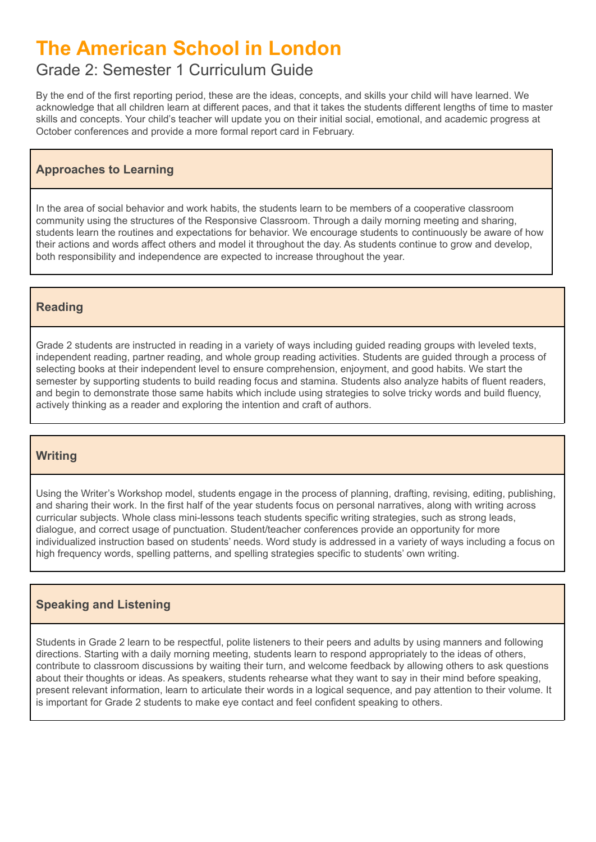# **The American School in London**

# Grade 2: Semester 1 Curriculum Guide

By the end of the first reporting period, these are the ideas, concepts, and skills your child will have learned. We acknowledge that all children learn at different paces, and that it takes the students different lengths of time to master skills and concepts. Your child's teacher will update you on their initial social, emotional, and academic progress at October conferences and provide a more formal report card in February.

# **Approaches to Learning**

In the area of social behavior and work habits, the students learn to be members of a cooperative classroom community using the structures of the Responsive Classroom. Through a daily morning meeting and sharing, students learn the routines and expectations for behavior. We encourage students to continuously be aware of how their actions and words affect others and model it throughout the day. As students continue to grow and develop, both responsibility and independence are expected to increase throughout the year.

# **Reading**

Grade 2 students are instructed in reading in a variety of ways including guided reading groups with leveled texts, independent reading, partner reading, and whole group reading activities. Students are guided through a process of selecting books at their independent level to ensure comprehension, enjoyment, and good habits. We start the semester by supporting students to build reading focus and stamina. Students also analyze habits of fluent readers, and begin to demonstrate those same habits which include using strategies to solve tricky words and build fluency, actively thinking as a reader and exploring the intention and craft of authors.

# **Writing**

Using the Writer's Workshop model, students engage in the process of planning, drafting, revising, editing, publishing, and sharing their work. In the first half of the year students focus on personal narratives, along with writing across curricular subjects. Whole class mini-lessons teach students specific writing strategies, such as strong leads, dialogue, and correct usage of punctuation. Student/teacher conferences provide an opportunity for more individualized instruction based on students' needs. Word study is addressed in a variety of ways including a focus on high frequency words, spelling patterns, and spelling strategies specific to students' own writing.

# **Speaking and Listening**

Students in Grade 2 learn to be respectful, polite listeners to their peers and adults by using manners and following directions. Starting with a daily morning meeting, students learn to respond appropriately to the ideas of others, contribute to classroom discussions by waiting their turn, and welcome feedback by allowing others to ask questions about their thoughts or ideas. As speakers, students rehearse what they want to say in their mind before speaking, present relevant information, learn to articulate their words in a logical sequence, and pay attention to their volume. It is important for Grade 2 students to make eye contact and feel confident speaking to others.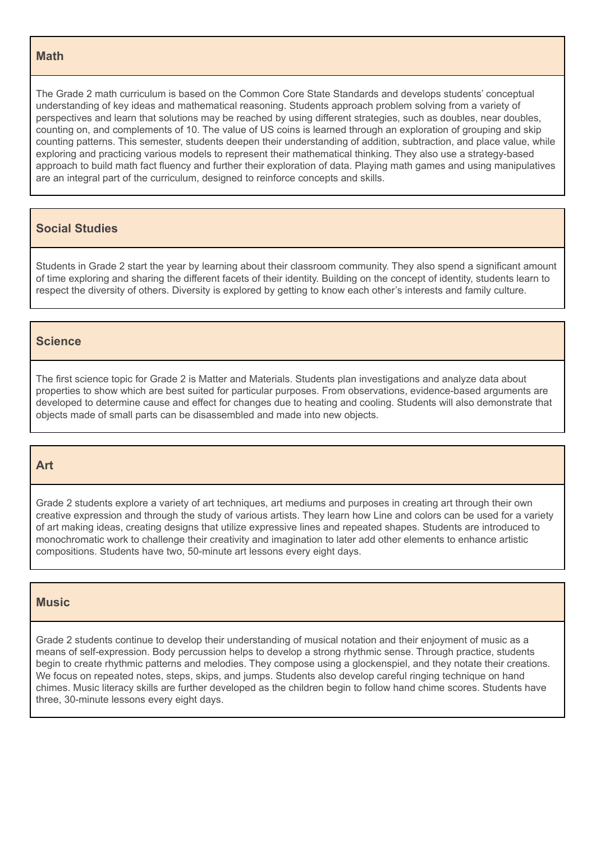#### **Math**

The Grade 2 math curriculum is based on the Common Core State Standards and develops students' conceptual understanding of key ideas and mathematical reasoning. Students approach problem solving from a variety of perspectives and learn that solutions may be reached by using different strategies, such as doubles, near doubles, counting on, and complements of 10. The value of US coins is learned through an exploration of grouping and skip counting patterns. This semester, students deepen their understanding of addition, subtraction, and place value, while exploring and practicing various models to represent their mathematical thinking. They also use a strategy-based approach to build math fact fluency and further their exploration of data. Playing math games and using manipulatives are an integral part of the curriculum, designed to reinforce concepts and skills.

## **Social Studies**

Students in Grade 2 start the year by learning about their classroom community. They also spend a significant amount of time exploring and sharing the different facets of their identity. Building on the concept of identity, students learn to respect the diversity of others. Diversity is explored by getting to know each other's interests and family culture.

#### **Science**

The first science topic for Grade 2 is Matter and Materials. Students plan investigations and analyze data about properties to show which are best suited for particular purposes. From observations, evidence-based arguments are developed to determine cause and effect for changes due to heating and cooling. Students will also demonstrate that objects made of small parts can be disassembled and made into new objects.

#### **Art**

Grade 2 students explore a variety of art techniques, art mediums and purposes in creating art through their own creative expression and through the study of various artists. They learn how Line and colors can be used for a variety of art making ideas, creating designs that utilize expressive lines and repeated shapes. Students are introduced to monochromatic work to challenge their creativity and imagination to later add other elements to enhance artistic compositions. Students have two, 50-minute art lessons every eight days.

#### **Music**

Grade 2 students continue to develop their understanding of musical notation and their enjoyment of music as a means of self-expression. Body percussion helps to develop a strong rhythmic sense. Through practice, students begin to create rhythmic patterns and melodies. They compose using a glockenspiel, and they notate their creations. We focus on repeated notes, steps, skips, and jumps. Students also develop careful ringing technique on hand chimes. Music literacy skills are further developed as the children begin to follow hand chime scores. Students have three, 30-minute lessons every eight days.